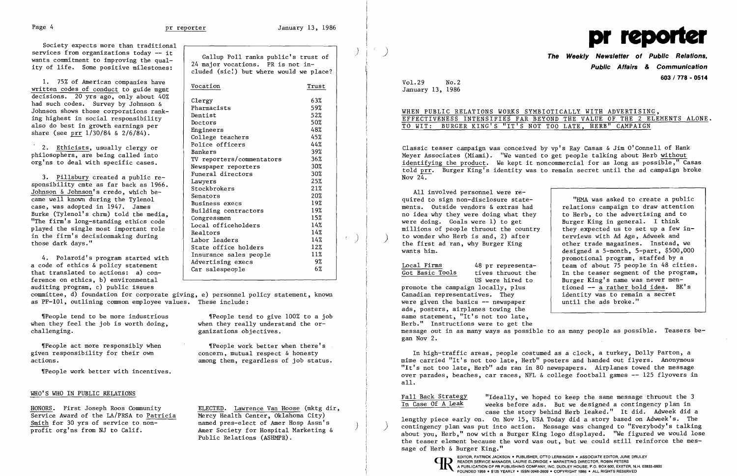Society expects more than traditional<br>services from organizations today -- it services from organizations today -- it<br>wants commitment to improving the qual-<br>ity of life. Some positive milestones:<br>cluded (sic!) but where would we place?

4. Polaroid's program started with<br>a code of ethics & policy statement<br>that translated to actions: a) conference on ethics, b) environmental auditing program, c) public issues

| 1. 75% of American companies have<br>written codes of conduct to guide mgmt                                                                                                                                                                                                                                                                                                           | Vocation                                                                                                                                                                                      | Trust                                                                     |  |
|---------------------------------------------------------------------------------------------------------------------------------------------------------------------------------------------------------------------------------------------------------------------------------------------------------------------------------------------------------------------------------------|-----------------------------------------------------------------------------------------------------------------------------------------------------------------------------------------------|---------------------------------------------------------------------------|--|
| decisions. 20 yrs ago, only about 40%<br>had such codes. Survey by Johnson &<br>Johnson shows those corporations rank-<br>ing highest in social responsibility<br>also do best in growth earnings per<br>share (see prr $1/30/84$ & $2/6/84$ ).                                                                                                                                       | Clergy<br>Pharmacists<br>Dentist<br>Doctors<br>Engineers<br>College teachers                                                                                                                  | 63%<br>59%<br>52%<br>50%<br>48%<br>45%                                    |  |
| 2. Ethicists, usually clergy or<br>philosophers, are being called into<br>org'ns to deal with specific cases.                                                                                                                                                                                                                                                                         | Police officers<br>Bankers<br>TV reporters/commentators<br>Newspaper reporters                                                                                                                | 44%<br>39%<br>$36\%$<br>30%                                               |  |
| 3. Pillsbury created a public re-<br>sponsibility cmte as far back as 1966.<br>Johnson & Johnson's credo, which be-<br>came well known during the Tylenol<br>case, was adopted in 1947. James<br>Burke (Tylenol's chrm) told the media,<br>"The firm's long-standing ethics code<br>played the single most important role<br>in the firm's decisionmaking during<br>those dark days." | Funeral directors<br>Lawyers<br>Stockbrokers<br>Senators<br>Business execs<br>Building contractors<br>Congressmen<br>Local officeholders<br>Realtors<br>Labor leaders<br>State office holders | 30%<br>25%<br>21%<br>20%<br>19%<br>19%<br>15%<br>14%<br>14%<br>14%<br>12% |  |
| 4. Polaroid's program started with<br>a code of ethics & policy statement<br>that translated to actions: a) con-                                                                                                                                                                                                                                                                      | Insurance sales people<br>Advertising execs<br>Car salespeople                                                                                                                                | 11%<br>9%<br>6%                                                           |  |

ganizations objectives.

The set more responsibly when  $\blacksquare$  People work better when there's<br>The responsibility for their own concern, mutual respect & honesty actions. among them, regardless of job status.

Classic teaser campaign was conceived by vp's Ray Casas & Jim O'Connell of Hank Meyer Associates (Miami). "We wanted to get people talking about Herb without identifying the product. We kept it noncommercial for as long as possible," Casas told prr. Burger King's identity was to remain secret until the ad campaign broke Nov  $24.$ 

 "lIMA was asked to create a public relations campaign to draw attention other trade magazines. Instead, we designed a 5-month, 5-part, \$500,000 promotional program, staffed by a Local Firms 48 pr representa - team of about 75 people in 48 cities.<br>
Got Basic Tools tives thruout the 1 In the teaser segment of the program, tives thruout the  $\begin{vmatrix} \n\text{In the teacher segment of the program,} \\
\text{Burger King's name was never men--}\n\end{vmatrix}$ Burger King's name was never men-<br>tioned -- a rather bold idea.  $BK's$ 

committee, d) foundation for corporate giving, e) personnel policy statement, known as PP-IOl, outlining common employee values. These include:

 $\lvert$ [People tend to be more industrious  $\lvert$ [People tend to give 100% to a job when they feel the job is worth doing, when they really understand the or-<br>
challenging. eanizations objectives.

given responsibility for their own

Theople work better with incentives.

promote the campaign locally, plus<br>Canadian representatives. They identity was to remain a secret<br>until the ads broke." were given the basics  $-$  newspaper ads, posters, airplanes towing the same statement, "It's not too late, Herb." Instructions were to get the message out in as many ways as possible to as many people as possible. Teasers began Nov 2.

## WHO'S WHO IN PUBLIC RELATIONS

HONORS. First Joseph Roos Community<br>
Service Award of the LA/PRSA to Patricia<br>
Mercy Health Center, Oklahoma City) Service Award of the LA/PRSA to Patricia Smith for 30 yrs of service to non-<br>
profit org'ns from NJ to Calif. Amer Society for Hospital Marketing &

Public Relations (ASHMPR).



Fall Back Strategy "Ideally, we hoped to keep the same message thruout the 3<br>In Case Of A Leak weeks before ads. But we designed a contingency plan in weeks before ads. But we designed a contingency plan in case the story behind Herb leaked." It did. Adweek did a lengthy piece early on. On Nov 15, USA Today did a story based on Adweek's. The ) contingency plan was put into action. Message was changed to "Everybody's talking about you, Herb," now with a Burger King logo displayed. "We figured we would lose the teaser element because the word was out, but we could still reinforce the message of Herb & Burger King."

**Public Affairs & Communication 603 / 778 - <sup>0514</sup>**Vol.29 No.2

January 13, 1986

 $\mathcal{L}^{\pm}$ 

# WHEN PUBLIC RELATIONS WORKS SYMBIOTICALLY WITH ADVERTISING, TO WIT: BURGER KING'S "IT'S NOT TOO LATE, HERB" CAMPAIGN

EFFECTIVENESS INTENSIFIES FAR BEYOND THE VALUE OF THE 2 ELEMENTS ALONE.

All involved personnel were re quired to sign non-disclosure state-<br>ments. Outside vendors & extras had no idea why they were doing what they  $\begin{array}{|l|l|}$  to Herb, to the advertising and to were doing. Goals were 1) to get  $\begin{array}{|l|} \hline \end{array}$  Burger King in general. I think were doing. Goals were 1) to get  $\begin{array}{|l|l|} \hline \text{Burger King in general.} & \text{I think} \text{min,} \text{min,} \end{array}$ millions of people thruout the country  $\begin{array}{|l|l|}\n \hline\n t & t & t & t & t \\
 t & t & t & t & t \\
 t & t & t & t & t & t \\
 \hline\n\end{array}$  they expected us to set up a few wants him. the first ad ran, why Burger King

In high-traffic areas, people costumed as a clock, a turkey, Dolly Parton, a mime carried "It's not too late. Herb" posters and handed out flyers. Anonymous "It's not too late, Herb" ads ran in 80 newspapers. Airplanes towed the message over parades, beaches, car races, NFL & college football games -- 125 flyovers in alL